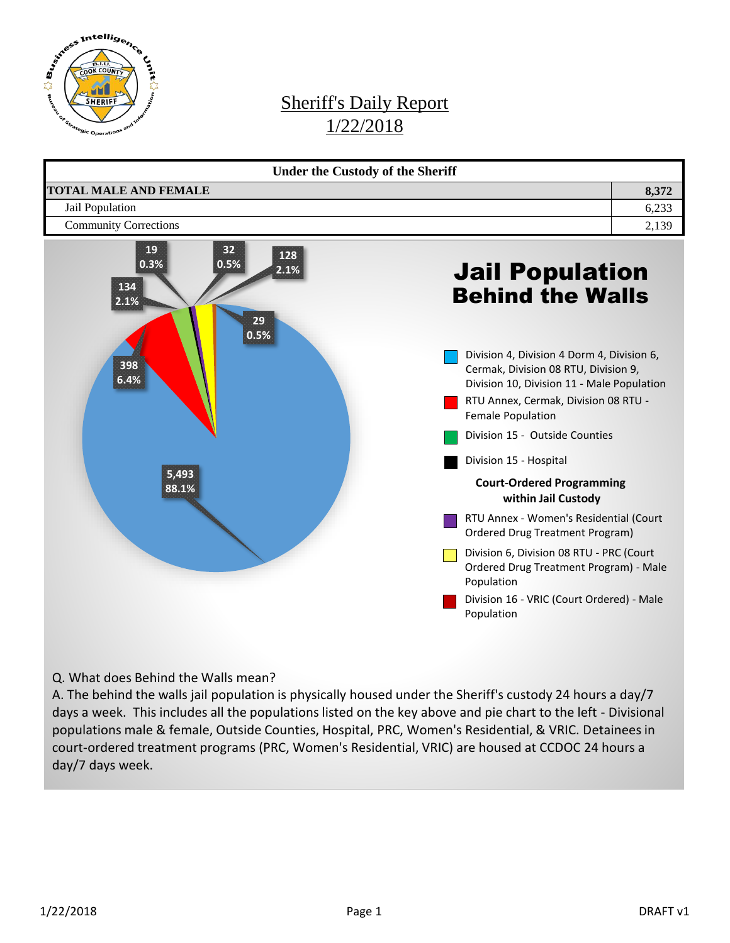

## Sheriff's Daily Report 1/22/2018



Q. What does Behind the Walls mean?

A. The behind the walls jail population is physically housed under the Sheriff's custody 24 hours a day/7 days a week. This includes all the populations listed on the key above and pie chart to the left - Divisional populations male & female, Outside Counties, Hospital, PRC, Women's Residential, & VRIC. Detainees in court-ordered treatment programs (PRC, Women's Residential, VRIC) are housed at CCDOC 24 hours a day/7 days week.